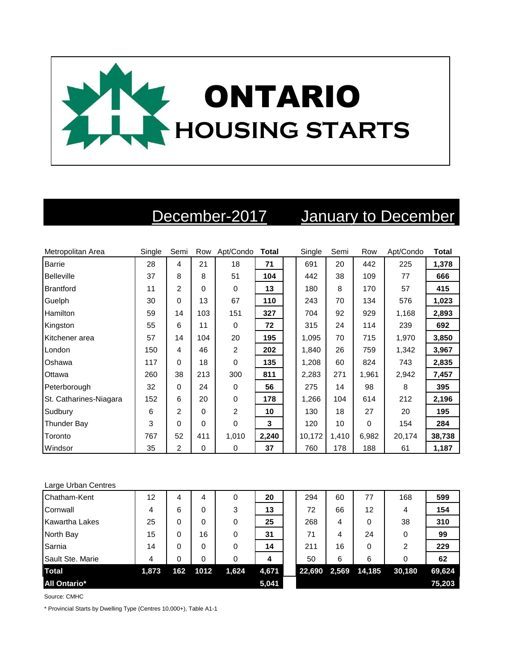

## December-2017 January to December

| Metropolitan Area      | Single | Semi | Row      | Apt/Condo      | <b>Total</b> | Single | Semi  | Row      | Apt/Condo | <b>Total</b> |
|------------------------|--------|------|----------|----------------|--------------|--------|-------|----------|-----------|--------------|
| <b>Barrie</b>          | 28     | 4    | 21       | 18             | 71           | 691    | 20    | 442      | 225       | 1,378        |
| Belleville             | 37     | 8    | 8        | 51             | 104          | 442    | 38    | 109      | 77        | 666          |
| Brantford              | 11     | 2    | $\Omega$ | 0              | 13           | 180    | 8     | 170      | 57        | 415          |
| Guelph                 | 30     | 0    | 13       | 67             | 110          | 243    | 70    | 134      | 576       | 1,023        |
| <b>Hamilton</b>        | 59     | 14   | 103      | 151            | 327          | 704    | 92    | 929      | 1,168     | 2,893        |
| Kingston               | 55     | 6    | 11       | 0              | 72           | 315    | 24    | 114      | 239       | 692          |
| Kitchener area         | 57     | 14   | 104      | 20             | 195          | 1,095  | 70    | 715      | 1,970     | 3,850        |
| London                 | 150    | 4    | 46       | 2              | 202          | 1,840  | 26    | 759      | 1,342     | 3,967        |
| Oshawa                 | 117    | 0    | 18       | $\mathbf 0$    | 135          | 1,208  | 60    | 824      | 743       | 2,835        |
| Ottawa                 | 260    | 38   | 213      | 300            | 811          | 2,283  | 271   | 1,961    | 2,942     | 7,457        |
| Peterborough           | 32     | 0    | 24       | $\Omega$       | 56           | 275    | 14    | 98       | 8         | 395          |
| St. Catharines-Niagara | 152    | 6    | 20       | $\mathbf 0$    | 178          | 1,266  | 104   | 614      | 212       | 2,196        |
| Sudbury                | 6      | 2    | 0        | $\overline{2}$ | 10           | 130    | 18    | 27       | 20        | 195          |
| Thunder Bay            | 3      | 0    | $\Omega$ | $\mathbf 0$    | 3            | 120    | 10    | $\Omega$ | 154       | 284          |
| Toronto                | 767    | 52   | 411      | 1,010          | 2,240        | 10,172 | 1,410 | 6,982    | 20,174    | 38,738       |
| Windsor                | 35     | 2    | $\Omega$ | $\mathbf 0$    | 37           | 760    | 178   | 188      | 61        | 1,187        |

## Large Urban Centres

| Chatham-Kent          | 12    | 4   | 4    | 0     | 20    | 294          | 60 | 77     | 168    | 599    |
|-----------------------|-------|-----|------|-------|-------|--------------|----|--------|--------|--------|
| Cornwall              | 4     | 6   | 0    | 3     | 13    | 72           | 66 | 12     | 4      | 154    |
| <b>Kawartha Lakes</b> | 25    | 0   | 0    | 0     | 25    | 268          | 4  | 0      | 38     | 310    |
| North Bay             | 15    | 0   | 16   | 0     | 31    | 71           | 4  | 24     | 0      | 99     |
| Sarnia                | 14    | 0   | 0    | 0     | 14    | 211          | 16 | 0      | 2      | 229    |
| Sault Ste. Marie      | 4     | 0   | 0    | 0     | 4     | 50           | 6  | 6      |        | 62     |
| <b>Total</b>          | 1,873 | 162 | 1012 | 1,624 | 4,671 | 22,690 2,569 |    | 14,185 | 30,180 | 69,624 |
| <b>All Ontario*</b>   |       |     |      |       | 5,041 |              |    |        |        | 75,203 |

Source: CMHC

\* Provincial Starts by Dwelling Type (Centres 10,000+), Table A1-1